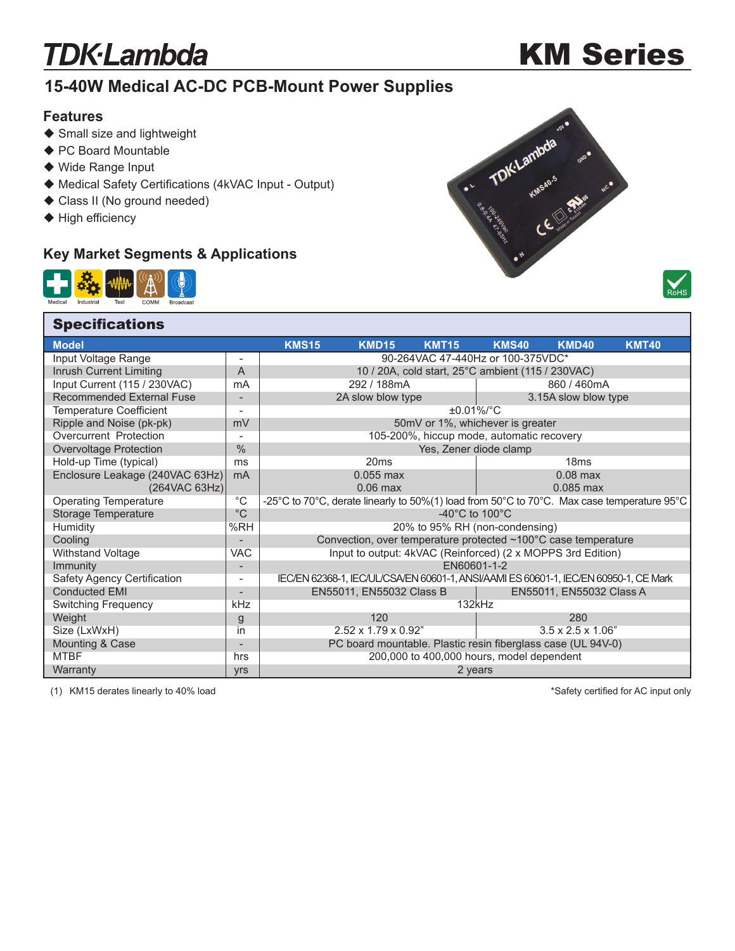## **TDK·Lambda**

# KM Series

### **15-40W Medical AC-DC PCB-Mount Power Supplies**

#### **Features**

- ◆ Small size and lightweight
- ◆ PC Board Mountable
- ◆ Wide Range Input
- ◆ Medical Safety Certifications (4kVAC Input Output)
- ◆ Class II (No ground needed)
- $\blacklozenge$  High efficiency

### **Key Market Segments & Applications**







#### L **Model KMS15 KMD15 KMT15 KMS40 KMD40 KMT40** Input Voltage Range  $\vert \cdot \vert$  - 90-264VAC 47-440Hz or 100-375VDC\* Inrush Current Limiting **A A** 10 / 20A, cold start, 25°C ambient (115 / 230VAC) Input Current (115 / 230VAC) mA 292 / 188mA 860 / 460mA Recommended External Fuse - 2A slow blow type 3.15A slow blow type Temperature Coefficient  $\begin{array}{c|c} - & \text{...} \\ - & \text{...} \\ \hline \end{array}$  Temperature Coefficient  $\begin{array}{c} \text{...} \\ \text{...} \\ \text{...} \end{array}$   $\begin{array}{c} \text{...} \\ \text{...} \\ \text{...} \end{array}$   $\begin{array}{c} \text{...} \\ \text{...} \\ \text{...} \end{array}$   $\begin{array}{c} \text{...} \\ \text{...} \\ \text{...} \end{array}$   $\begin{array}{c} \text$  Ripple and Noise (pk-pk) mV 50mV or 1%, whichever is greater Overcurrent Protection **105-200%**, hiccup mode, automatic recovery<br>
Overvoltage Protection **105-200** Yes. Zener diode clamp Overvoltage Protection 8 1 % 1 % Yes, Zener diode clamp Hold-up Time (typical) ms ms 20ms 20ms 18ms 18ms Enclosure Leakage (240VAC 63Hz) mA 0.055 max 0.055 max 0.08 max (264VAC 63Hz) 0.06 max 0.06 max (264VAC 63Hz) (264VAC 63Hz) 0.06 max 0.066 max 0.085 max °C -25°C to 70°C, derate linearly to 50%(1) load from 50°C to 70°C. Max case temperature 95°C Storage Temperature  ${}^{\circ}$ C  ${}^{\circ}$ C to 100°C to 100°C to 100°C<br>Humidity  ${}^{\circ}$ C +40°C to 100°C Humidity %RH 20% to 95% RH (non-condensing) Cooling Cooling Convection, over temperature protected ~100°C case temperature Withstand Voltage VAC | VAC | Input to output: 4kVAC (Reinforced) (2 x MOPPS 3rd Edition) **Immunity EN60601-1-2** Safety Agency Certification - IEC/EN 62368-1, IEC/UL/CSA/EN 60601-1, ANSI/AAMI ES 60601-1, IEC/EN 60950-1, CE Mark Conducted EMI **ENSET ARE ENSET AS A ENSET A ENSET A** ENSEMBLE ENSET A ENSEMBLE ENSET A ENSEMBLE ENSET A ENSEMBLE EN Switching Frequency **KHz KHz** 132kHz Weight g 120 280 Size (LxWxH) in in 2.52 x 1.79 x 0.92" 3.5 x 2.5 x 1.06" Mounting & Case **Notation Case 1991** - PC board mountable. Plastic resin fiberglass case (UL 94V-0) MTBF hrs hrs hrs 200,000 to 400,000 hours, model dependent Warranty yrs 2 years **Specifications**

(1) KM15 derates linearly to 40% load

\*Safety certified for AC input only